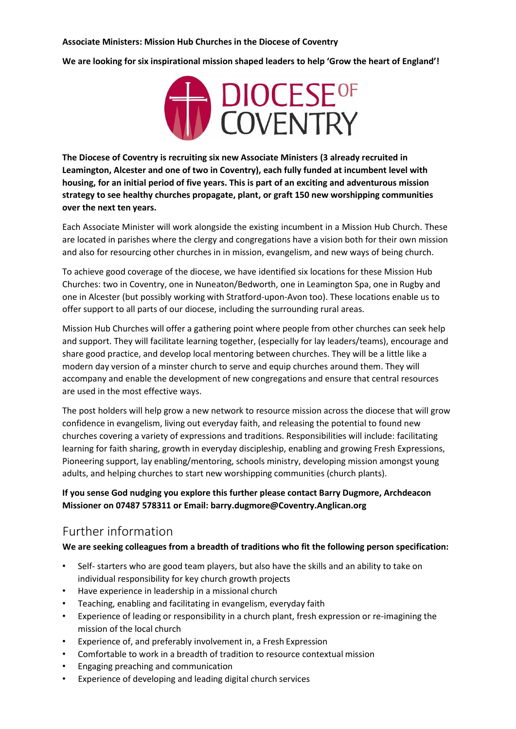#### **Associate Ministers: Mission Hub Churches in the Diocese of Coventry**

**We are looking for six inspirational mission shaped leaders to help 'Grow the heart of England'!**



**The Diocese of Coventry is recruiting six new Associate Ministers (3 already recruited in Leamington, Alcester and one of two in Coventry), each fully funded at incumbent level with housing, for an initial period of five years. This is part of an exciting and adventurous mission strategy to see healthy churches propagate, plant, or graft 150 new worshipping communities over the next ten years.**

Each Associate Minister will work alongside the existing incumbent in a Mission Hub Church. These are located in parishes where the clergy and congregations have a vision both for their own mission and also for resourcing other churches in in mission, evangelism, and new ways of being church.

To achieve good coverage of the diocese, we have identified six locations for these Mission Hub Churches: two in Coventry, one in Nuneaton/Bedworth, one in Leamington Spa, one in Rugby and one in Alcester (but possibly working with Stratford-upon-Avon too). These locations enable us to offer support to all parts of our diocese, including the surrounding rural areas.

Mission Hub Churches will offer a gathering point where people from other churches can seek help and support. They will facilitate learning together, (especially for lay leaders/teams), encourage and share good practice, and develop local mentoring between churches. They will be a little like a modern day version of a minster church to serve and equip churches around them. They will accompany and enable the development of new congregations and ensure that central resources are used in the most effective ways.

The post holders will help grow a new network to resource mission across the diocese that will grow confidence in evangelism, living out everyday faith, and releasing the potential to found new churches covering a variety of expressions and traditions. Responsibilities will include: facilitating learning for faith sharing, growth in everyday discipleship, enabling and growing Fresh Expressions, Pioneering support, lay enabling/mentoring, schools ministry, developing mission amongst young adults, and helping churches to start new worshipping communities (church plants).

#### **If you sense God nudging you explore this further please contact Barry Dugmore, Archdeacon Missioner on 07487 578311 or Email: [barry.dugmore@Coventry.Anglican.org](mailto:barry.dugmore@Coventry.Anglican.org)**

### Further information

**We are seeking colleagues from a breadth of traditions who fit the following person specification:**

- Self- starters who are good team players, but also have the skills and an ability to take on individual responsibility for key church growth projects
- Have experience in leadership in a missional church
- Teaching, enabling and facilitating in evangelism, everyday faith
- Experience of leading or responsibility in a church plant, fresh expression or re-imagining the mission of the local church
- Experience of, and preferably involvement in, a Fresh Expression
- Comfortable to work in a breadth of tradition to resource contextual mission
- Engaging preaching and communication
- Experience of developing and leading digital church services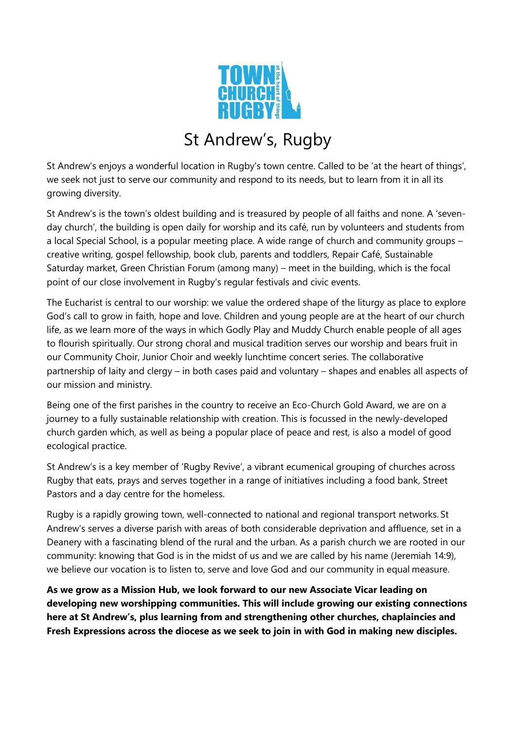

## St Andrew's, Rugby

St Andrew's enjoys a wonderful location in Rugby's town centre. Called to be 'at the heart of things', we seek not just to serve our community and respond to its needs, but to learn from it in all its growing diversity.

St Andrew's is the town's oldest building and is treasured by people of all faiths and none. A 'sevenday church', the building is open daily for worship and its café, run by volunteers and students from a local Special School, is a popular meeting place. A wide range of church and community groups – creative writing, gospel fellowship, book club, parents and toddlers, Repair Café, Sustainable Saturday market, Green Christian Forum (among many) – meet in the building, which is the focal point of our close involvement in Rugby's regular festivals and civic events.

The Eucharist is central to our worship: we value the ordered shape of the liturgy as place to explore God's call to grow in faith, hope and love. Children and young people are at the heart of our church life, as we learn more of the ways in which Godly Play and Muddy Church enable people of all ages to flourish spiritually. Our strong choral and musical tradition serves our worship and bears fruit in our Community Choir, Junior Choir and weekly lunchtime concert series. The collaborative partnership of laity and clergy – in both cases paid and voluntary – shapes and enables all aspects of our mission and ministry.

Being one of the first parishes in the country to receive an Eco-Church Gold Award, we are on a journey to a fully sustainable relationship with creation. This is focussed in the newly-developed church garden which, as well as being a popular place of peace and rest, is also a model of good ecological practice.

St Andrew's is a key member of 'Rugby Revive', a vibrant ecumenical grouping of churches across Rugby that eats, prays and serves together in a range of initiatives including a food bank, Street Pastors and a day centre for the homeless.

Rugby is a rapidly growing town, well-connected to national and regional transport networks. St Andrew's serves a diverse parish with areas of both considerable deprivation and affluence, set in a Deanery with a fascinating blend of the rural and the urban. As a parish church we are rooted in our community: knowing that God is in the midst of us and we are called by his name (Jeremiah 14:9), we believe our vocation is to listen to, serve and love God and our community in equal measure.

**As we grow as a Mission Hub, we look forward to our new Associate Vicar leading on developing new worshipping communities. This will include growing our existing connections here at St Andrew's, plus learning from and strengthening other churches, chaplaincies and Fresh Expressions across the diocese as we seek to join in with God in making new disciples.**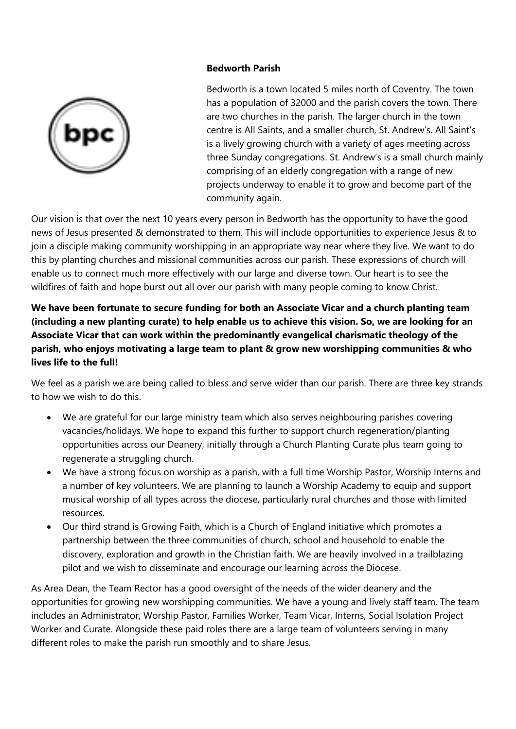

#### **Bedworth Parish**

Bedworth is a town located 5 miles north of Coventry. The town has a population of 32000 and the parish covers the town. There are two churches in the parish. The larger church in the town centre is All Saints, and a smaller church, St. Andrew's. All Saint's is a lively growing church with a variety of ages meeting across three Sunday congregations. St. Andrew's is a small church mainly comprising of an elderly congregation with a range of new projects underway to enable it to grow and become part of the community again.

Our vision is that over the next 10 years every person in Bedworth has the opportunity to have the good news of Jesus presented & demonstrated to them. This will include opportunities to experience Jesus & to join a disciple making community worshipping in an appropriate way near where they live. We want to do this by planting churches and missional communities across our parish. These expressions of church will enable us to connect much more effectively with our large and diverse town. Our heart is to see the wildfires of faith and hope burst out all over our parish with many people coming to know Christ.

**We have been fortunate to secure funding for both an Associate Vicar and a church planting team (including a new planting curate) to help enable us to achieve this vision. So, we are looking for an Associate Vicar that can work within the predominantly evangelical charismatic theology of the parish, who enjoys motivating a large team to plant & grow new worshipping communities & who lives life to the full!**

We feel as a parish we are being called to bless and serve wider than our parish. There are three key strands to how we wish to do this.

- We are grateful for our large ministry team which also serves neighbouring parishes covering vacancies/holidays. We hope to expand this further to support church regeneration/planting opportunities across our Deanery, initially through a Church Planting Curate plus team going to regenerate a struggling church.
- We have a strong focus on worship as a parish, with a full time Worship Pastor, Worship Interns and a number of key volunteers. We are planning to launch a Worship Academy to equip and support musical worship of all types across the diocese, particularly rural churches and those with limited resources.
- Our third strand is Growing Faith, which is a Church of England initiative which promotes a partnership between the three communities of church, school and household to enable the discovery, exploration and growth in the Christian faith. We are heavily involved in a trailblazing pilot and we wish to disseminate and encourage our learning across the Diocese.

As Area Dean, the Team Rector has a good oversight of the needs of the wider deanery and the opportunities for growing new worshipping communities. We have a young and lively staff team. The team includes an Administrator, Worship Pastor, Families Worker, Team Vicar, Interns, Social Isolation Project Worker and Curate. Alongside these paid roles there are a large team of volunteers serving in many different roles to make the parish run smoothly and to share Jesus.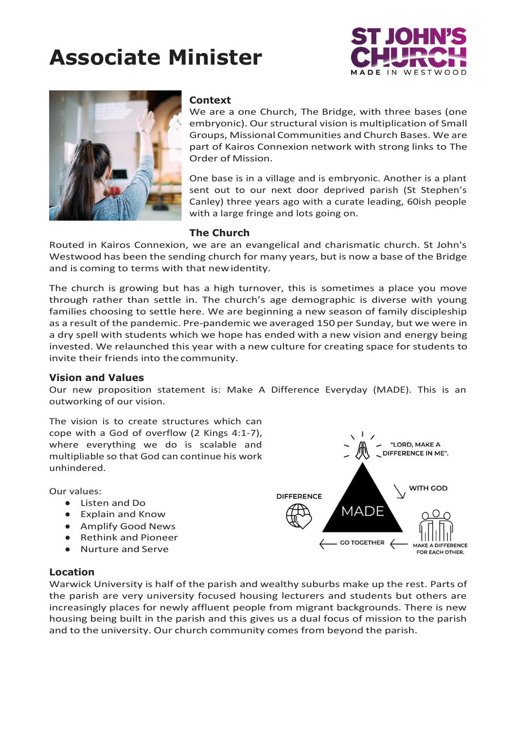# **Associate Minister**





#### **Context**

We are a one Church, The Bridge, with three bases (one embryonic). Ourstructural vision is multiplication of Small Groups, Missional Communities and Church Bases. We are part of Kairos Connexion network with strong links to The Order of Mission.

One base is in a village and is embryonic. Another is a plant sent out to our next door deprived parish (St Stephen's Canley) three years ago with a curate leading, 60ish people with a large fringe and lots going on.

#### **The Church**

Routed in Kairos Connexion, we are an evangelical and charismatic church. St John's Westwood has been the sending church for many years, but is now a base of the Bridge and is coming to terms with that newidentity.

The church is growing but has a high turnover, this is sometimes a place you move through rather than settle in. The church's age demographic is diverse with young families choosing to settle here. We are beginning a new season of family discipleship as a result of the pandemic. Pre-pandemic we averaged 150 per Sunday, but we were in a dry spell with students which we hope has ended with a new vision and energy being invested. We relaunched this year with a new culture for creating space for students to invite their friends into thecommunity.

#### **Vision and Values**

Our new proposition statement is: Make A Difference Everyday (MADE). This is an outworking of our vision.

The vision is to create structures which can cope with a God of overflow (2 Kings 4:1-7), where everything we do is scalable and multipliable so that God can continue his work unhindered.

Our values:

- Listen and Do
- Explain and Know
- Amplify Good News
- Rethink and Pioneer
- Nurture and Serve



#### **Location**

Warwick University is half of the parish and wealthy suburbs make up the rest. Parts of the parish are very university focused housing lecturers and students but others are increasingly places for newly affluent people from migrant backgrounds. There is new housing being built in the parish and this gives us a dual focus of mission to the parish and to the university. Our church community comes from beyond the parish.